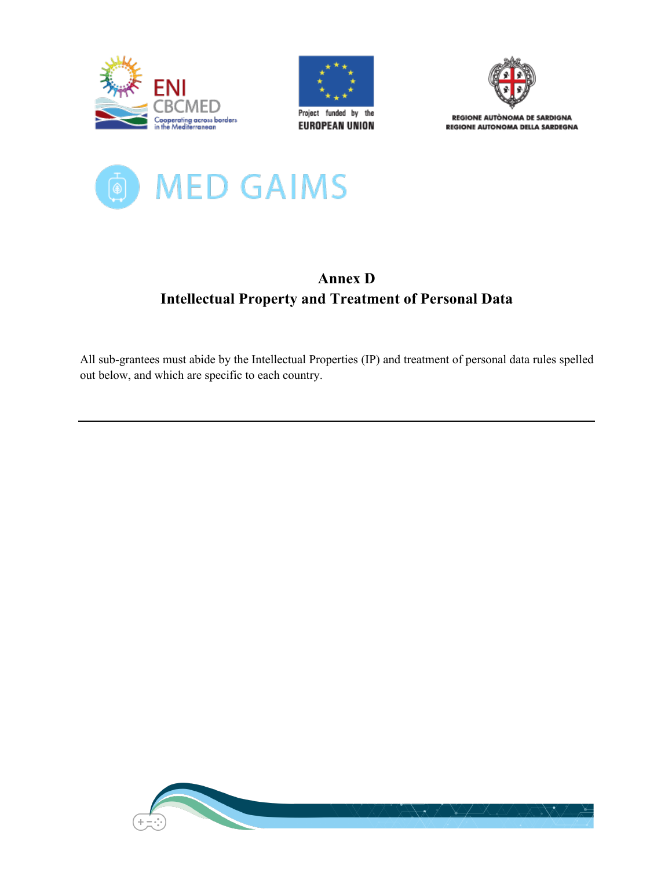





REGIONE AUTÒNOMA DE SARDIGNA REGIONE AUTONOMA DELLA SARDEGNA



# **Annex D Intellectual Property and Treatment of Personal Data**

All sub-grantees must abide by the Intellectual Properties (IP) and treatment of personal data rules spelled out below, and which are specific to each country.

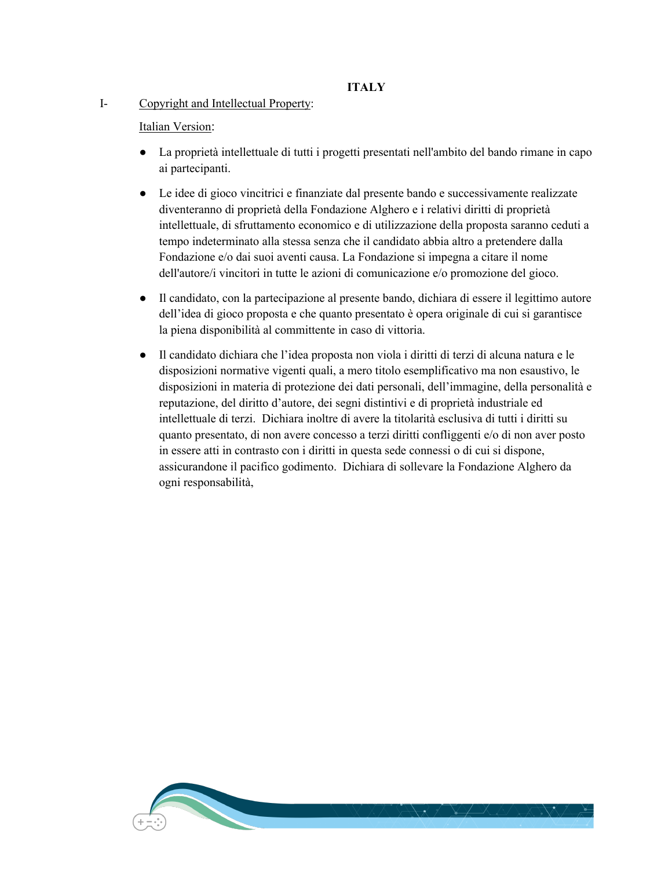# **ITALY**

## I- Copyright and Intellectual Property:

# Italian Version:

- La proprietà intellettuale di tutti i progetti presentati nell'ambito del bando rimane in capo ai partecipanti.
- Le idee di gioco vincitrici e finanziate dal presente bando e successivamente realizzate diventeranno di proprietà della Fondazione Alghero e i relativi diritti di proprietà intellettuale, di sfruttamento economico e di utilizzazione della proposta saranno ceduti a tempo indeterminato alla stessa senza che il candidato abbia altro a pretendere dalla Fondazione e/o dai suoi aventi causa. La Fondazione si impegna a citare il nome dell'autore/i vincitori in tutte le azioni di comunicazione e/o promozione del gioco.
- Il candidato, con la partecipazione al presente bando, dichiara di essere il legittimo autore dell'idea di gioco proposta e che quanto presentato è opera originale di cui si garantisce la piena disponibilità al committente in caso di vittoria.
- Il candidato dichiara che l'idea proposta non viola i diritti di terzi di alcuna natura e le disposizioni normative vigenti quali, a mero titolo esemplificativo ma non esaustivo, le disposizioni in materia di protezione dei dati personali, dell'immagine, della personalità e reputazione, del diritto d'autore, dei segni distintivi e di proprietà industriale ed intellettuale di terzi. Dichiara inoltre di avere la titolarità esclusiva di tutti i diritti su quanto presentato, di non avere concesso a terzi diritti confliggenti e/o di non aver posto in essere atti in contrasto con i diritti in questa sede connessi o di cui si dispone, assicurandone il pacifico godimento. Dichiara di sollevare la Fondazione Alghero da ogni responsabilità,

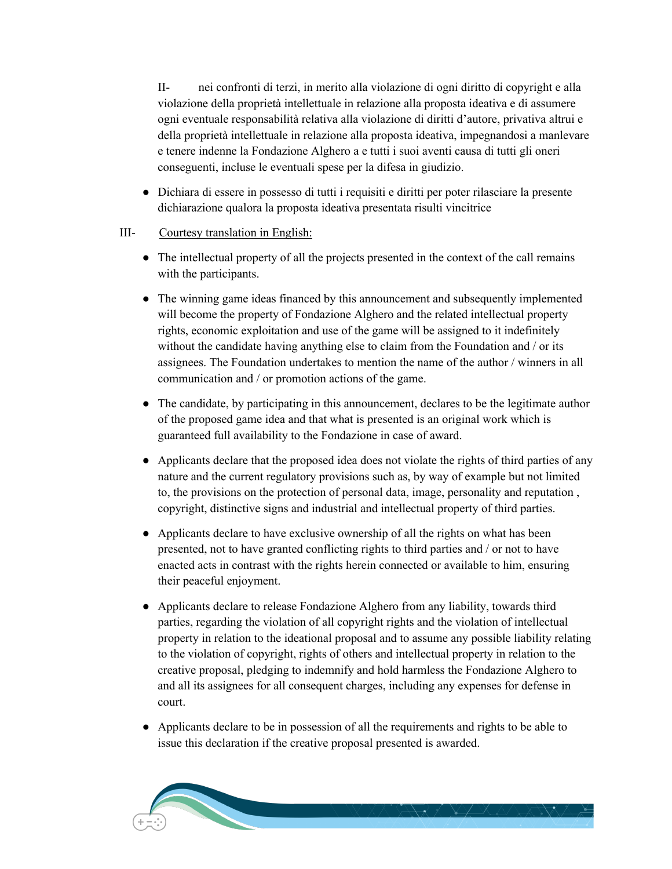II- nei confronti di terzi, in merito alla violazione di ogni diritto di copyright e alla violazione della proprietà intellettuale in relazione alla proposta ideativa e di assumere ogni eventuale responsabilità relativa alla violazione di diritti d'autore, privativa altrui e della proprietà intellettuale in relazione alla proposta ideativa, impegnandosi a manlevare e tenere indenne la Fondazione Alghero a e tutti i suoi aventi causa di tutti gli oneri conseguenti, incluse le eventuali spese per la difesa in giudizio.

● Dichiara di essere in possesso di tutti i requisiti e diritti per poter rilasciare la presente dichiarazione qualora la proposta ideativa presentata risulti vincitrice

# III- Courtesy translation in English:

- The intellectual property of all the projects presented in the context of the call remains with the participants.
- The winning game ideas financed by this announcement and subsequently implemented will become the property of Fondazione Alghero and the related intellectual property rights, economic exploitation and use of the game will be assigned to it indefinitely without the candidate having anything else to claim from the Foundation and / or its assignees. The Foundation undertakes to mention the name of the author / winners in all communication and / or promotion actions of the game.
- The candidate, by participating in this announcement, declares to be the legitimate author of the proposed game idea and that what is presented is an original work which is guaranteed full availability to the Fondazione in case of award.
- Applicants declare that the proposed idea does not violate the rights of third parties of any nature and the current regulatory provisions such as, by way of example but not limited to, the provisions on the protection of personal data, image, personality and reputation , copyright, distinctive signs and industrial and intellectual property of third parties.
- Applicants declare to have exclusive ownership of all the rights on what has been presented, not to have granted conflicting rights to third parties and / or not to have enacted acts in contrast with the rights herein connected or available to him, ensuring their peaceful enjoyment.
- Applicants declare to release Fondazione Alghero from any liability, towards third parties, regarding the violation of all copyright rights and the violation of intellectual property in relation to the ideational proposal and to assume any possible liability relating to the violation of copyright, rights of others and intellectual property in relation to the creative proposal, pledging to indemnify and hold harmless the Fondazione Alghero to and all its assignees for all consequent charges, including any expenses for defense in court.
- Applicants declare to be in possession of all the requirements and rights to be able to issue this declaration if the creative proposal presented is awarded.

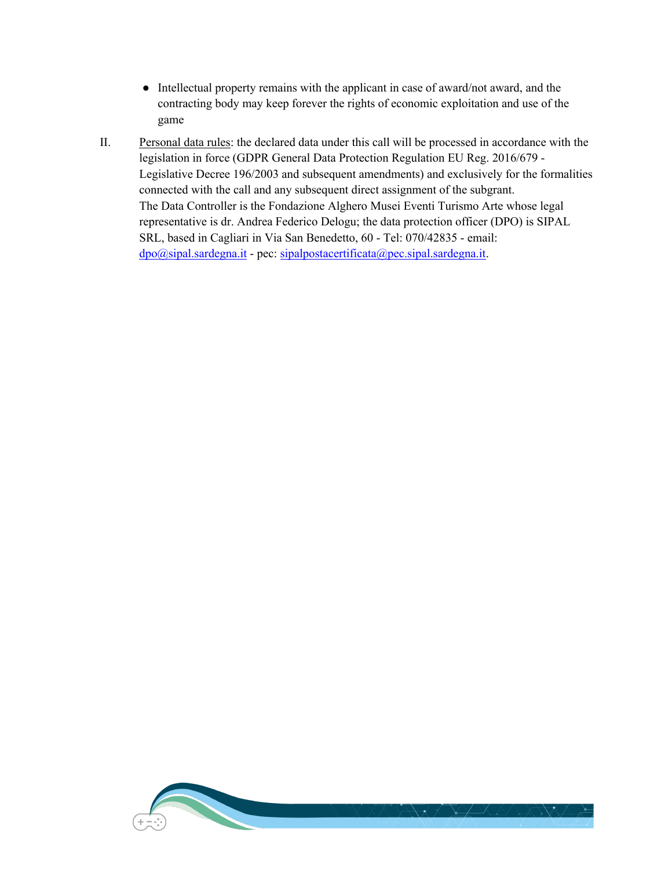- Intellectual property remains with the applicant in case of award/not award, and the contracting body may keep forever the rights of economic exploitation and use of the game
- II. Personal data rules: the declared data under this call will be processed in accordance with the legislation in force (GDPR General Data Protection Regulation EU Reg. 2016/679 - Legislative Decree 196/2003 and subsequent amendments) and exclusively for the formalities connected with the call and any subsequent direct assignment of the subgrant. The Data Controller is the Fondazione Alghero Musei Eventi Turismo Arte whose legal representative is dr. Andrea Federico Delogu; the data protection officer (DPO) is SIPAL SRL, based in Cagliari in Via San Benedetto, 60 - Tel: 070/42835 - email:  $\frac{dpo(\partial sipal.sardegna.it}{dpo(\partial t) + qec: sipalpostacertificata(\partial t) - qec.sipal.sardegna.it.}$

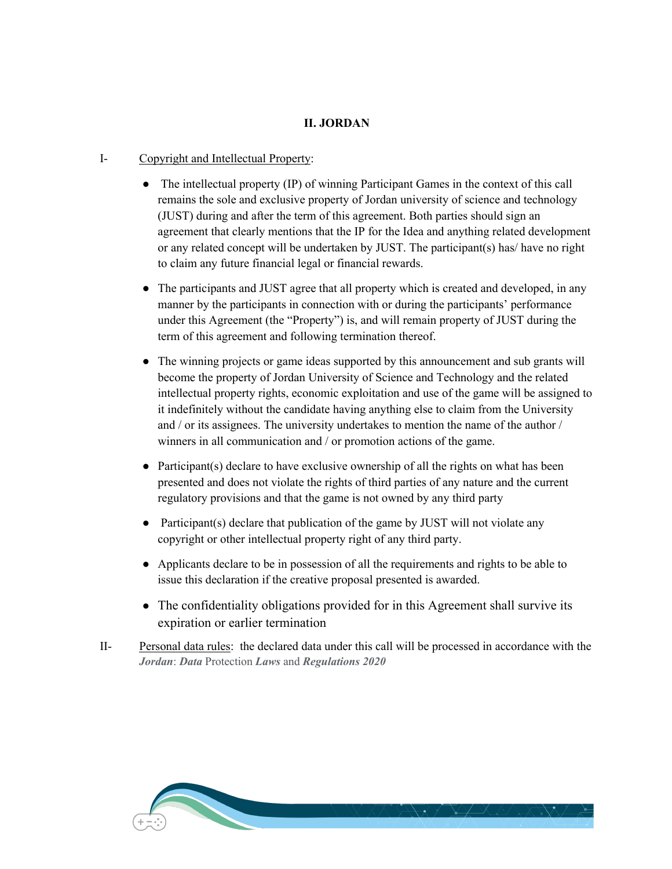## **II. JORDAN**

#### I- Copyright and Intellectual Property:

- The intellectual property (IP) of winning Participant Games in the context of this call remains the sole and exclusive property of Jordan university of science and technology (JUST) during and after the term of this agreement. Both parties should sign an agreement that clearly mentions that the IP for the Idea and anything related development or any related concept will be undertaken by JUST. The participant(s) has/ have no right to claim any future financial legal or financial rewards.
- The participants and JUST agree that all property which is created and developed, in any manner by the participants in connection with or during the participants' performance under this Agreement (the "Property") is, and will remain property of JUST during the term of this agreement and following termination thereof.
- The winning projects or game ideas supported by this announcement and sub grants will become the property of Jordan University of Science and Technology and the related intellectual property rights, economic exploitation and use of the game will be assigned to it indefinitely without the candidate having anything else to claim from the University and / or its assignees. The university undertakes to mention the name of the author / winners in all communication and / or promotion actions of the game.
- Participant(s) declare to have exclusive ownership of all the rights on what has been presented and does not violate the rights of third parties of any nature and the current regulatory provisions and that the game is not owned by any third party
- Participant(s) declare that publication of the game by JUST will not violate any copyright or other intellectual property right of any third party.
- Applicants declare to be in possession of all the requirements and rights to be able to issue this declaration if the creative proposal presented is awarded.
- The confidentiality obligations provided for in this Agreement shall survive its expiration or earlier termination
- II- Personal data rules: the declared data under this call will be processed in accordance with the *Jordan*: *Data* Protection *Laws* and *Regulations 2020*

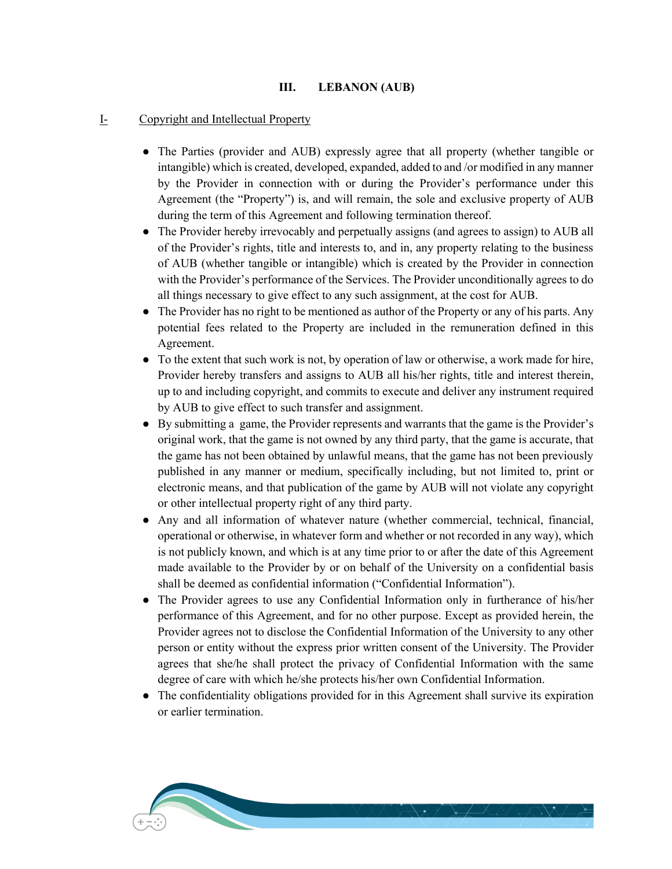## **III. LEBANON (AUB)**

## I- Copyright and Intellectual Property

- The Parties (provider and AUB) expressly agree that all property (whether tangible or intangible) which is created, developed, expanded, added to and /or modified in any manner by the Provider in connection with or during the Provider's performance under this Agreement (the "Property") is, and will remain, the sole and exclusive property of AUB during the term of this Agreement and following termination thereof.
- The Provider hereby irrevocably and perpetually assigns (and agrees to assign) to AUB all of the Provider's rights, title and interests to, and in, any property relating to the business of AUB (whether tangible or intangible) which is created by the Provider in connection with the Provider's performance of the Services. The Provider unconditionally agrees to do all things necessary to give effect to any such assignment, at the cost for AUB.
- The Provider has no right to be mentioned as author of the Property or any of his parts. Any potential fees related to the Property are included in the remuneration defined in this Agreement.
- To the extent that such work is not, by operation of law or otherwise, a work made for hire, Provider hereby transfers and assigns to AUB all his/her rights, title and interest therein, up to and including copyright, and commits to execute and deliver any instrument required by AUB to give effect to such transfer and assignment.
- By submitting a game, the Provider represents and warrants that the game is the Provider's original work, that the game is not owned by any third party, that the game is accurate, that the game has not been obtained by unlawful means, that the game has not been previously published in any manner or medium, specifically including, but not limited to, print or electronic means, and that publication of the game by AUB will not violate any copyright or other intellectual property right of any third party.
- Any and all information of whatever nature (whether commercial, technical, financial, operational or otherwise, in whatever form and whether or not recorded in any way), which is not publicly known, and which is at any time prior to or after the date of this Agreement made available to the Provider by or on behalf of the University on a confidential basis shall be deemed as confidential information ("Confidential Information").
- The Provider agrees to use any Confidential Information only in furtherance of his/her performance of this Agreement, and for no other purpose. Except as provided herein, the Provider agrees not to disclose the Confidential Information of the University to any other person or entity without the express prior written consent of the University. The Provider agrees that she/he shall protect the privacy of Confidential Information with the same degree of care with which he/she protects his/her own Confidential Information.
- The confidentiality obligations provided for in this Agreement shall survive its expiration or earlier termination.

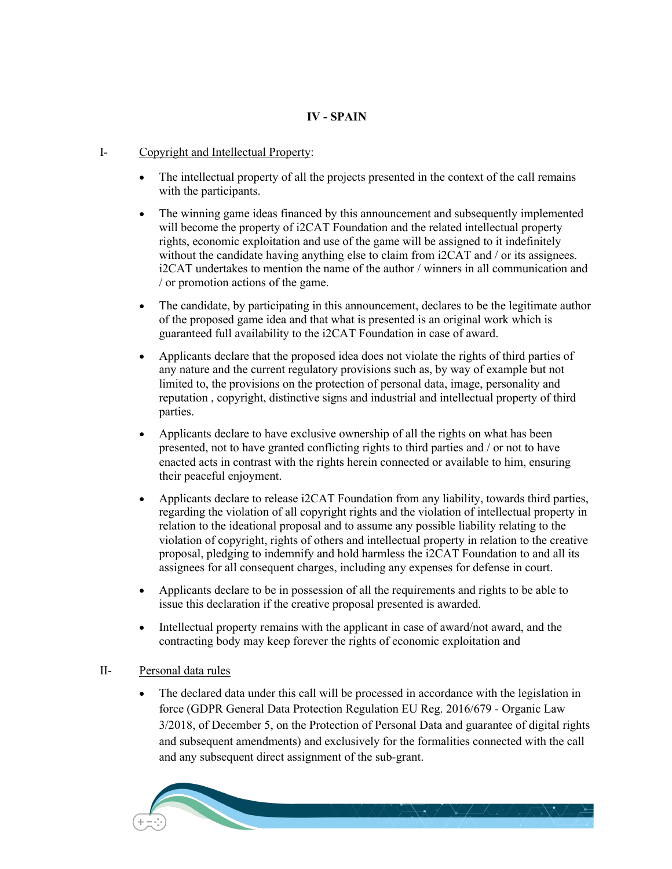# **IV - SPAIN**

## I- Copyright and Intellectual Property:

- The intellectual property of all the projects presented in the context of the call remains with the participants.
- The winning game ideas financed by this announcement and subsequently implemented will become the property of i2CAT Foundation and the related intellectual property rights, economic exploitation and use of the game will be assigned to it indefinitely without the candidate having anything else to claim from i2CAT and / or its assignees. i2CAT undertakes to mention the name of the author / winners in all communication and / or promotion actions of the game.
- The candidate, by participating in this announcement, declares to be the legitimate author of the proposed game idea and that what is presented is an original work which is guaranteed full availability to the i2CAT Foundation in case of award.
- Applicants declare that the proposed idea does not violate the rights of third parties of any nature and the current regulatory provisions such as, by way of example but not limited to, the provisions on the protection of personal data, image, personality and reputation , copyright, distinctive signs and industrial and intellectual property of third parties.
- Applicants declare to have exclusive ownership of all the rights on what has been presented, not to have granted conflicting rights to third parties and / or not to have enacted acts in contrast with the rights herein connected or available to him, ensuring their peaceful enjoyment.
- Applicants declare to release i2CAT Foundation from any liability, towards third parties, regarding the violation of all copyright rights and the violation of intellectual property in relation to the ideational proposal and to assume any possible liability relating to the violation of copyright, rights of others and intellectual property in relation to the creative proposal, pledging to indemnify and hold harmless the i2CAT Foundation to and all its assignees for all consequent charges, including any expenses for defense in court.
- Applicants declare to be in possession of all the requirements and rights to be able to issue this declaration if the creative proposal presented is awarded.
- Intellectual property remains with the applicant in case of award/not award, and the contracting body may keep forever the rights of economic exploitation and

### II- Personal data rules

• The declared data under this call will be processed in accordance with the legislation in force (GDPR General Data Protection Regulation EU Reg. 2016/679 - Organic Law 3/2018, of December 5, on the Protection of Personal Data and guarantee of digital rights and subsequent amendments) and exclusively for the formalities connected with the call and any subsequent direct assignment of the sub-grant.